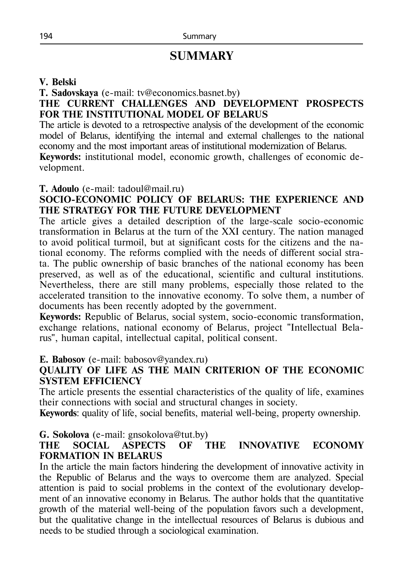# **SUMMARY**

#### **V. Belski**

**T. Sadovskaya** (e-mail: [tv@economics.basnet.by\)](mailto:tv@economics.basnet.by)

#### **THE CURRENT CHALLENGES AND DEVELOPMENT PROSPECTS FOR THE INSTITUTIONAL MODEL OF BELARUS**

The article is devoted to a retrospective analysis of the development of the economic model of Belarus, identifying the internal and external challenges to the national economy and the most important areas of institutional modernization of Belarus.

**Keywords:** institutional model, economic growth, challenges of economic development.

#### **T. Adoulo** (e-mail: [tadoul@mail.ru\)](mailto:tadoul@mail.ru)

## **SOCIO-ECONOMIC POLICY OF BELARUS: THE EXPERIENCE AND THE STRATEGY FOR THE FUTURE DEVELOPMENT**

The article gives a detailed description of the large-scale socio-economic transformation in Belarus at the turn of the XXI century. The nation managed to avoid political turmoil, but at significant costs for the citizens and the national economy. The reforms complied with the needs of different social strata. The public ownership of basic branches of the national economy has been preserved, as well as of the educational, scientific and cultural institutions. Nevertheless, there are still many problems, especially those related to the accelerated transition to the innovative economy. To solve them, a number of documents has been recently adopted by the government.

**Keywords:** Republic of Belarus, social system, socio-economic transformation, exchange relations, national economy of Belarus, project "Intellectual Belarus", human capital, intellectual capital, political consent.

**E. Babosov** (e-mail: [babosov@yandex.ru\)](mailto:babosov@yandex.ru)

## **QUALITY OF LIFE AS THE MAIN CRITERION OF THE ECONOMIC SYSTEM EFFICIENCY**

The article presents the essential characteristics of the quality of life, examines their connections with social and structural changes in society.

**Keywords**: quality of life, social benefits, material well-being, property ownership.

## **G. Sokolova** (e-mail: [gnsokolova@tut.by\)](mailto:gnsokolova@tut.by)

## **THE SOCIAL ASPECTS OF THE INNOVATIVE ECONOMY FORMATION IN BELARUS**

In the article the main factors hindering the development of innovative activity in the Republic of Belarus and the ways to overcome them are analyzed. Special attention is paid to social problems in the context of the evolutionary development of an innovative economy in Belarus. The author holds that the quantitative growth of the material well-being of the population favors such a development, but the qualitative change in the intellectual resources of Belarus is dubious and needs to be studied through a sociological examination.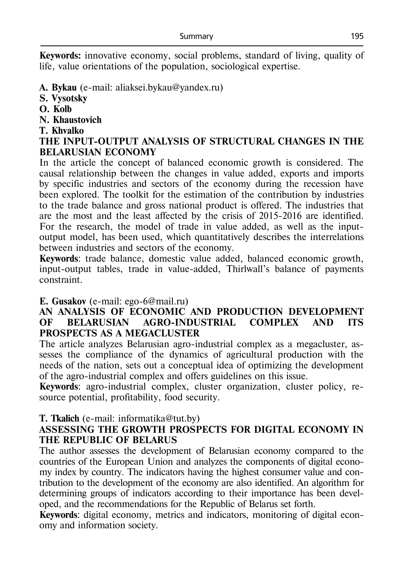**Keywords:** innovative economy, social problems, standard of living, quality of life, value orientations of the population, sociological expertise.

- **A. [Bykau](mailto:Bykau)** (e-mail: aliaksei.bykau@yandex.ru)
- **S. Vysotsky**
- **O. Kolb**
- **N. Khaustovich**
- **T. Khvalko**

## **THE INPUT-OUTPUT ANALYSIS OF STRUCTURAL CHANGES IN THE BELARUSIAN ECONOMY**

In the article the concept of balanced economic growth is considered. The causal relationship between the changes in value added, exports and imports by specific industries and sectors of the economy during the recession have been explored. The toolkit for the estimation of the contribution by industries to the trade balance and gross national product is offered. The industries that are the most and the least affected by the crisis of 2015-2016 are identified. For the research, the model of trade in value added, as well as the inputoutput model, has been used, which quantitatively describes the interrelations between industries and sectors of the economy.

**Keywords**: trade balance, domestic value added, balanced economic growth, input-output tables, trade in value-added, Thirlwall's balance of payments constraint.

## **Е. Gusakov** (e-mail: ego-6@mail.ru)

#### **AN ANALYSIS OF ECONOMIC AND PRODUCTION DEVELOPMENT OF BELARUSIAN AGRO-INDUSTRIAL COMPLEX AND ITS PROSPECTS AS A MEGACLUSTER**

The article analyzes Belarusian agro-industrial complex as a megacluster, assesses the compliance of the dynamics of agricultural production with the needs of the nation, sets out a conceptual idea of optimizing the development of the agro-industrial complex and offers guidelines on this issue.

**Keywords**: agro-industrial complex, cluster organization, cluster policy, resource potential, profitability, food security.

# **Т. Тkalich** (e-mail: informatika@tut.by)

## **ASSESSING THE GROWTH PROSPECTS FOR DIGITAL ECONOMY IN THE REPUBLIC OF BELARUS**

The author assesses the development of Belarusian economy compared to the countries of the European Union and analyzes the components of digital economy index by country. The indicators having the highest consumer value and contribution to the development of the economy are also identified. An algorithm for determining groups of indicators according to their importance has been developed, and the recommendations for the Republic of Belarus set forth.

**Keywords**: digital economy, metrics and indicators, monitoring of digital economy and information society.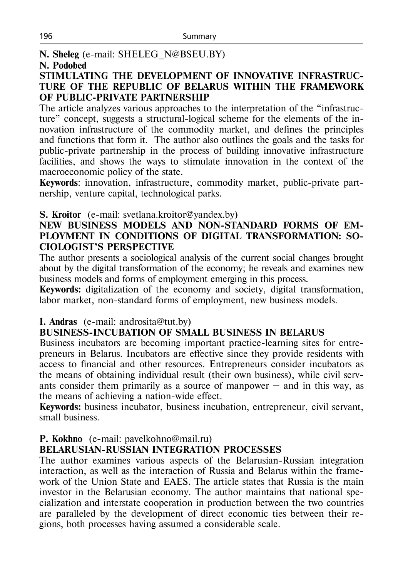**N. Sheleg** (e-mail: SHELEG\_N@BSEU.BY)

#### **N. Podobed**

#### **STIMULATING THE DEVELOPMENT OF INNOVATIVE INFRASTRUC-TURE OF THE REPUBLIC OF BELARUS WITHIN THE FRAMEWORK OF PUBLIC-PRIVATE PARTNERSHIP**

The article analyzes various approaches to the interpretation of the "infrastructure" concept, suggests a structural-logical scheme for the elements of the innovation infrastructure of the commodity market, and defines the principles and functions that form it. The author also outlines the goals and the tasks for public-private partnership in the process of building innovative infrastructure facilities, and shows the ways to stimulate innovation in the context of the macroeconomic policy of the state.

**Keywords**: innovation, infrastructure, commodity market, public-private partnership, venture capital, technological parks.

#### **S. Kroitor** (e-mail: [svetlana.kroitor@yandex.by\)](mailto:svetlana.kroitor@yandex.by)

#### **NEW BUSINESS MODELS AND NON-STANDARD FORMS OF EM-PLOYMENT IN CONDITIONS OF DIGITAL TRANSFORMATION: SO-CIOLOGIST'S PERSPECTIVE**

The author presents a sociological analysis of the current social changes brought about by the digital transformation of the economy; he reveals and examines new business models and forms of employment emerging in this process.

**Keywords:** digitalization of the economy and society, digital transformation, labor market, non-standard forms of employment, new business models.

## **I. Andras** (e-mail: androsita@tut.by)

# **BUSINESS-INCUBATION OF SMALL BUSINESS IN BELARUS**

Business incubators are becoming important practice-learning sites for entrepreneurs in Belarus. Incubators are effective since they provide residents with access to financial and other resources. Entrepreneurs consider incubators as the means of obtaining individual result (their own business), while civil servants consider them primarily as a source of manpower  $-$  and in this way, as the means of achieving a nation-wide effect.

**Keywords:** business incubator, business incubation, entrepreneur, civil servant, small business.

## **P. Kokhno** (e-mail: [pavelkohno@mail.ru\)](mailto:pavelkohno@mail.ru)

## **BELARUSIAN-RUSSIAN INTEGRATION PROCESSES**

The author examines various aspects of the Belarusian-Russian integration interaction, as well as the interaction of Russia and Belarus within the framework of the Union State and EAES. The article states that Russia is the main investor in the Belarusian economy. The author maintains that national specialization and interstate cooperation in production between the two countries are paralleled by the development of direct economic ties between their regions, both processes having assumed a considerable scale.